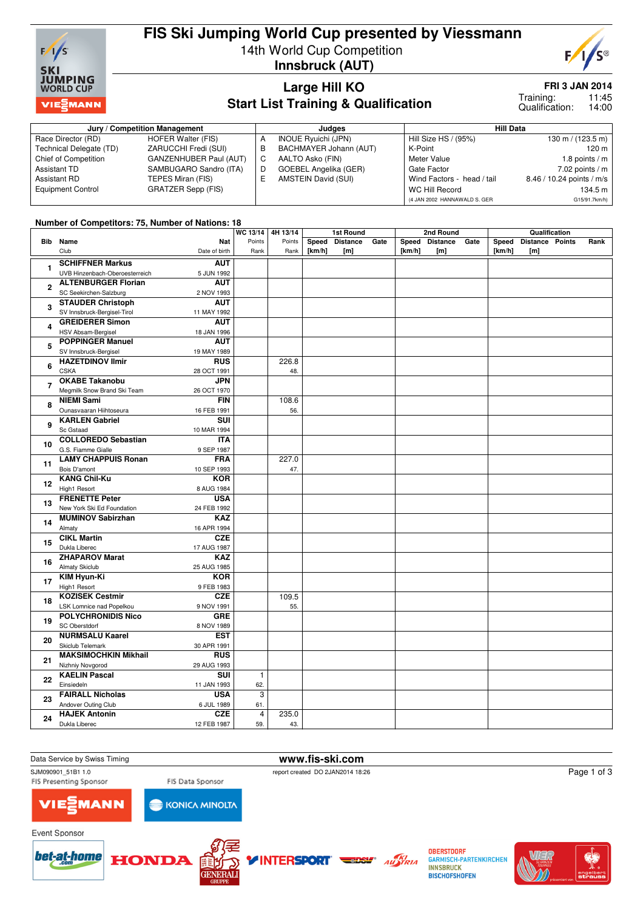

# **FIS Ski Jumping World Cup presented by Viessmann** 14th World Cup Competition



**Innsbruck (AUT)**

### **Large Hill KO Start List Training & Qualification**

**FRI 3 JAN 2014**

11:45 14:00 Training: Qualification:

| Jury / Competition Management |                           |   | Judges                       | <b>Hill Data</b>             |                                     |  |  |
|-------------------------------|---------------------------|---|------------------------------|------------------------------|-------------------------------------|--|--|
| Race Director (RD)            | HOFER Walter (FIS)        |   | INOUE Ryuichi (JPN)          | Hill Size HS / (95%)         | $130 \text{ m} / (123.5 \text{ m})$ |  |  |
| Technical Delegate (TD)       | ZARUCCHI Fredi (SUI)      |   | BACHMAYER Johann (AUT)       | K-Point                      | $120 \text{ m}$                     |  |  |
| Chief of Competition          | GANZENHUBER Paul (AUT)    | С | AALTO Asko (FIN)             | Meter Value                  | 1.8 points $/m$                     |  |  |
| Assistant TD                  | SAMBUGARO Sandro (ITA)    | D | <b>GOEBEL Angelika (GER)</b> | Gate Factor                  | 7.02 points $/m$                    |  |  |
| Assistant RD                  | TEPES Miran (FIS)         |   | AMSTEIN David (SUI)          | Wind Factors - head / tail   | 8.46 / 10.24 points / m/s           |  |  |
| <b>Equipment Control</b>      | <b>GRATZER Sepp (FIS)</b> |   |                              | WC Hill Record               | 134.5 m                             |  |  |
|                               |                           |   |                              | (4 JAN 2002 HANNAWALD S. GER | G15/91.7km/h)                       |  |  |

#### **Number of Competitors: 75, Number of Nations: 18**

|                |                                              | WC 13/14   4H 13/14 |        | 1st Round |                 | 2nd Round |        |                | Qualification |        |                        |  |      |
|----------------|----------------------------------------------|---------------------|--------|-----------|-----------------|-----------|--------|----------------|---------------|--------|------------------------|--|------|
|                | <b>Bib</b> Name<br><b>Nat</b>                | Points              | Points | Speed     | <b>Distance</b> | Gate      |        | Speed Distance | Gate          | Speed  | <b>Distance Points</b> |  | Rank |
|                | Club<br>Date of birth                        | Rank                | Rank   | [km/h]    | [m]             |           | [km/h] | [m]            |               | [km/h] | [m]                    |  |      |
|                | <b>SCHIFFNER Markus</b><br><b>AUT</b>        |                     |        |           |                 |           |        |                |               |        |                        |  |      |
| $\mathbf{1}$   | UVB Hinzenbach-Oberoesterreich<br>5 JUN 1992 |                     |        |           |                 |           |        |                |               |        |                        |  |      |
|                | <b>ALTENBURGER Florian</b><br><b>AUT</b>     |                     |        |           |                 |           |        |                |               |        |                        |  |      |
| $\mathbf{2}$   | SC Seekirchen-Salzburg<br>2 NOV 1993         |                     |        |           |                 |           |        |                |               |        |                        |  |      |
|                | <b>STAUDER Christoph</b><br><b>AUT</b>       |                     |        |           |                 |           |        |                |               |        |                        |  |      |
| 3              |                                              |                     |        |           |                 |           |        |                |               |        |                        |  |      |
|                | SV Innsbruck-Bergisel-Tirol<br>11 MAY 1992   |                     |        |           |                 |           |        |                |               |        |                        |  |      |
| 4              | <b>GREIDERER Simon</b><br><b>AUT</b>         |                     |        |           |                 |           |        |                |               |        |                        |  |      |
|                | HSV Absam-Bergisel<br>18 JAN 1996            |                     |        |           |                 |           |        |                |               |        |                        |  |      |
| 5              | <b>POPPINGER Manuel</b><br><b>AUT</b>        |                     |        |           |                 |           |        |                |               |        |                        |  |      |
|                | SV Innsbruck-Bergisel<br>19 MAY 1989         |                     |        |           |                 |           |        |                |               |        |                        |  |      |
| 6              | <b>HAZETDINOV Ilmir</b><br><b>RUS</b>        |                     | 226.8  |           |                 |           |        |                |               |        |                        |  |      |
|                | <b>CSKA</b><br>28 OCT 1991                   |                     | 48.    |           |                 |           |        |                |               |        |                        |  |      |
| $\overline{7}$ | <b>OKABE Takanobu</b><br><b>JPN</b>          |                     |        |           |                 |           |        |                |               |        |                        |  |      |
|                | Megmilk Snow Brand Ski Team<br>26 OCT 1970   |                     |        |           |                 |           |        |                |               |        |                        |  |      |
| 8              | <b>NIEMI Sami</b><br><b>FIN</b>              |                     | 108.6  |           |                 |           |        |                |               |        |                        |  |      |
|                | Ounasvaaran Hiihtoseura<br>16 FEB 1991       |                     | 56.    |           |                 |           |        |                |               |        |                        |  |      |
| 9              | <b>KARLEN Gabriel</b><br>SUI                 |                     |        |           |                 |           |        |                |               |        |                        |  |      |
|                | Sc Gstaad<br>10 MAR 1994                     |                     |        |           |                 |           |        |                |               |        |                        |  |      |
| 10             | <b>COLLOREDO Sebastian</b><br><b>ITA</b>     |                     |        |           |                 |           |        |                |               |        |                        |  |      |
|                | G.S. Fiamme Gialle<br>9 SEP 1987             |                     |        |           |                 |           |        |                |               |        |                        |  |      |
|                | <b>LAMY CHAPPUIS Ronan</b><br><b>FRA</b>     |                     | 227.0  |           |                 |           |        |                |               |        |                        |  |      |
| 11             | Bois D'amont<br>10 SEP 1993                  |                     | 47.    |           |                 |           |        |                |               |        |                        |  |      |
|                | <b>KANG Chil-Ku</b><br><b>KOR</b>            |                     |        |           |                 |           |        |                |               |        |                        |  |      |
| 12             | High1 Resort<br>8 AUG 1984                   |                     |        |           |                 |           |        |                |               |        |                        |  |      |
| 13             | <b>FRENETTE Peter</b><br><b>USA</b>          |                     |        |           |                 |           |        |                |               |        |                        |  |      |
|                | New York Ski Ed Foundation<br>24 FEB 1992    |                     |        |           |                 |           |        |                |               |        |                        |  |      |
|                | <b>MUMINOV Sabirzhan</b><br><b>KAZ</b>       |                     |        |           |                 |           |        |                |               |        |                        |  |      |
| 14             | Almaty<br>16 APR 1994                        |                     |        |           |                 |           |        |                |               |        |                        |  |      |
|                | <b>CIKL Martin</b><br><b>CZE</b>             |                     |        |           |                 |           |        |                |               |        |                        |  |      |
| 15             | Dukla Liberec<br>17 AUG 1987                 |                     |        |           |                 |           |        |                |               |        |                        |  |      |
|                | <b>ZHAPAROV Marat</b><br><b>KAZ</b>          |                     |        |           |                 |           |        |                |               |        |                        |  |      |
| 16             | <b>Almaty Skiclub</b><br>25 AUG 1985         |                     |        |           |                 |           |        |                |               |        |                        |  |      |
|                | KIM Hyun-Ki<br><b>KOR</b>                    |                     |        |           |                 |           |        |                |               |        |                        |  |      |
| 17             | High1 Resort<br>9 FEB 1983                   |                     |        |           |                 |           |        |                |               |        |                        |  |      |
|                | <b>KOZISEK Cestmir</b><br><b>CZE</b>         |                     | 109.5  |           |                 |           |        |                |               |        |                        |  |      |
| 18             | LSK Lomnice nad Popelkou<br>9 NOV 1991       |                     | 55.    |           |                 |           |        |                |               |        |                        |  |      |
|                | <b>POLYCHRONIDIS Nico</b><br><b>GRE</b>      |                     |        |           |                 |           |        |                |               |        |                        |  |      |
| 19             | <b>SC Oberstdorf</b>                         |                     |        |           |                 |           |        |                |               |        |                        |  |      |
|                | 8 NOV 1989<br><b>NURMSALU Kaarel</b>         |                     |        |           |                 |           |        |                |               |        |                        |  |      |
| 20             | <b>EST</b>                                   |                     |        |           |                 |           |        |                |               |        |                        |  |      |
|                | Skiclub Telemark<br>30 APR 1991              |                     |        |           |                 |           |        |                |               |        |                        |  |      |
| 21             | <b>MAKSIMOCHKIN Mikhail</b><br><b>RUS</b>    |                     |        |           |                 |           |        |                |               |        |                        |  |      |
|                | Nizhniy Novgorod<br>29 AUG 1993              |                     |        |           |                 |           |        |                |               |        |                        |  |      |
| 22             | <b>KAELIN Pascal</b><br>SUI                  | $\mathbf{1}$        |        |           |                 |           |        |                |               |        |                        |  |      |
|                | Einsiedeln<br>11 JAN 1993                    | 62.                 |        |           |                 |           |        |                |               |        |                        |  |      |
| 23             | <b>FAIRALL Nicholas</b><br><b>USA</b>        | 3                   |        |           |                 |           |        |                |               |        |                        |  |      |
|                | Andover Outing Club<br>6 JUL 1989            | 61.                 |        |           |                 |           |        |                |               |        |                        |  |      |
| 24             | <b>HAJEK Antonin</b><br><b>CZE</b>           | $\overline{4}$      | 235.0  |           |                 |           |        |                |               |        |                        |  |      |
|                | Dukla Liberec<br>12 FEB 1987                 | 59.                 | 43.    |           |                 |           |        |                |               |        |                        |  |      |

Data Service by Swiss Timing **www.fis-ski.com**<br>
SJM090901 51B1 1.0<br>
webort created DO 2JAN2014 18:

FIS Presenting Sponsor

**INTERSPORT** 

report created DO 2JAN2014 18:26

Page 1 of 3

**MANN** VIE

bet-at-home

Event Sponsor



**HONDA** 



**OBERSTDORF GARMISCH-PARTENKIRCHEN INNSBRUCK BISCHOFSHOFEN** 

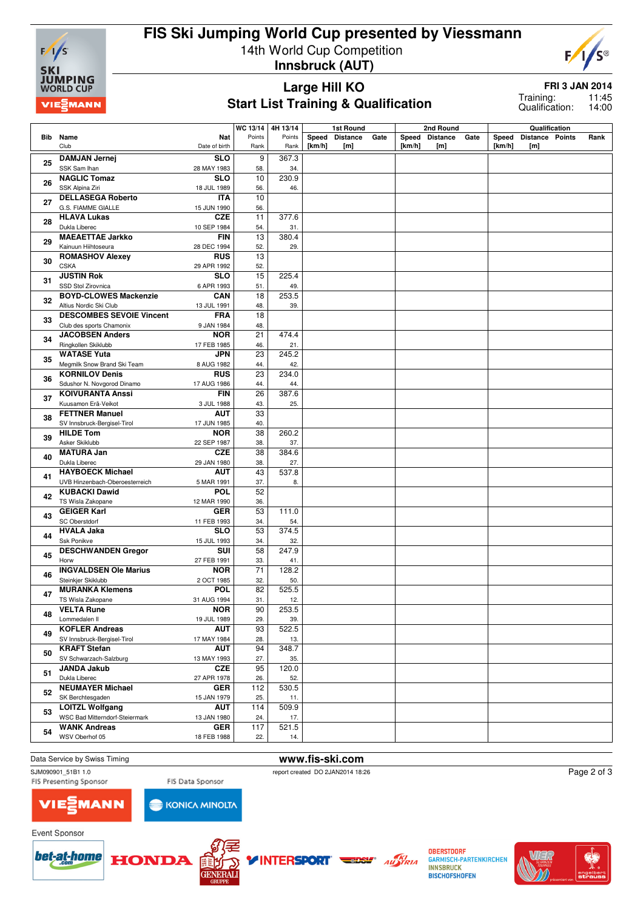

## **FIS Ski Jumping World Cup presented by Viessmann** 14th World Cup Competition **Innsbruck (AUT)**



#### **Large Hill KO Start List Training & Qualification**

**FRI 3 JAN 2014**

11:45 14:00 Training: Qualification:

|    |                                                                                  | WC 13/14                 | 4H 13/14       | <b>1st Round</b> |                        | 2nd Round |                 |                        | Qualification |                 |                               |  |      |
|----|----------------------------------------------------------------------------------|--------------------------|----------------|------------------|------------------------|-----------|-----------------|------------------------|---------------|-----------------|-------------------------------|--|------|
|    | Bib Name<br>Club<br>Date of birth                                                | Points<br>Nat<br>Rank    | Points<br>Rank | Speed<br>[km/h]  | <b>Distance</b><br>[m] | Gate      | Speed<br>[km/h] | <b>Distance</b><br>[m] | Gate          | Speed<br>[km/h] | <b>Distance Points</b><br>[m] |  | Rank |
| 25 | <b>DAMJAN Jernej</b><br>SSK Sam Ihan<br>28 MAY 1983                              | 9<br><b>SLO</b><br>58.   | 367.3<br>34.   |                  |                        |           |                 |                        |               |                 |                               |  |      |
| 26 | <b>NAGLIC Tomaz</b>                                                              | <b>SLO</b><br>10         | 230.9          |                  |                        |           |                 |                        |               |                 |                               |  |      |
|    | SSK Alpina Ziri<br>18 JUL 1989                                                   | 56.                      | 46.            |                  |                        |           |                 |                        |               |                 |                               |  |      |
| 27 | <b>DELLASEGA Roberto</b>                                                         | <b>ITA</b><br>10         |                |                  |                        |           |                 |                        |               |                 |                               |  |      |
|    | G.S. FIAMME GIALLE<br>15 JUN 1990<br><b>HLAVA Lukas</b>                          | 56.<br>11<br><b>CZE</b>  | 377.6          |                  |                        |           |                 |                        |               |                 |                               |  |      |
| 28 | Dukla Liberec<br>10 SEP 1984                                                     | 54.                      | 31.            |                  |                        |           |                 |                        |               |                 |                               |  |      |
| 29 | <b>MAEAETTAE Jarkko</b><br>Kainuun Hiihtoseura<br>28 DEC 1994                    | <b>FIN</b><br>13<br>52.  | 380.4<br>29.   |                  |                        |           |                 |                        |               |                 |                               |  |      |
| 30 | <b>ROMASHOV Alexev</b><br><b>RUS</b>                                             | 13                       |                |                  |                        |           |                 |                        |               |                 |                               |  |      |
|    | <b>CSKA</b><br>29 APR 1992                                                       | 52.                      |                |                  |                        |           |                 |                        |               |                 |                               |  |      |
| 31 | <b>JUSTIN Rok</b><br>SSD Stol Zirovnica<br>6 APR 1993                            | <b>SLO</b><br>15<br>51.  | 225.4<br>49.   |                  |                        |           |                 |                        |               |                 |                               |  |      |
|    | <b>BOYD-CLOWES Mackenzie</b><br>CAN                                              | 18                       | 253.5          |                  |                        |           |                 |                        |               |                 |                               |  |      |
| 32 | Altius Nordic Ski Club<br>13 JUL 1991                                            | 48.                      | 39.            |                  |                        |           |                 |                        |               |                 |                               |  |      |
|    | <b>DESCOMBES SEVOIE Vincent</b>                                                  | <b>FRA</b><br>18         |                |                  |                        |           |                 |                        |               |                 |                               |  |      |
| 33 | Club des sports Chamonix<br>9 JAN 1984                                           | 48.                      |                |                  |                        |           |                 |                        |               |                 |                               |  |      |
| 34 | <b>NOR</b><br><b>JACOBSEN Anders</b>                                             | 21                       | 474.4          |                  |                        |           |                 |                        |               |                 |                               |  |      |
|    | Ringkollen Skiklubb<br>17 FEB 1985                                               | 46.                      | 21.            |                  |                        |           |                 |                        |               |                 |                               |  |      |
| 35 | <b>WATASE Yuta</b>                                                               | <b>JPN</b><br>23         | 245.2          |                  |                        |           |                 |                        |               |                 |                               |  |      |
|    | Megmilk Snow Brand Ski Team<br>8 AUG 1982<br><b>KORNILOV Denis</b><br><b>RUS</b> | 44.<br>23                | 42.<br>234.0   |                  |                        |           |                 |                        |               |                 |                               |  |      |
| 36 | Sdushor N. Novgorod Dinamo<br>17 AUG 1986                                        | 44.                      | 44.            |                  |                        |           |                 |                        |               |                 |                               |  |      |
|    | <b>KOIVURANTA Anssi</b>                                                          | <b>FIN</b><br>26         | 387.6          |                  |                        |           |                 |                        |               |                 |                               |  |      |
| 37 | Kuusamon Erä-Veikot<br>3 JUL 1988                                                | 43.                      | 25.            |                  |                        |           |                 |                        |               |                 |                               |  |      |
| 38 | <b>FETTNER Manuel</b>                                                            | <b>AUT</b><br>33         |                |                  |                        |           |                 |                        |               |                 |                               |  |      |
|    | SV Innsbruck-Bergisel-Tirol<br>17 JUN 1985<br><b>HILDE Tom</b><br><b>NOR</b>     | 40.<br>38                | 260.2          |                  |                        |           |                 |                        |               |                 |                               |  |      |
| 39 | Asker Skiklubb<br>22 SEP 1987                                                    | 38.                      | 37.            |                  |                        |           |                 |                        |               |                 |                               |  |      |
| 40 | <b>MATURA Jan</b>                                                                | <b>CZE</b><br>38         | 384.6          |                  |                        |           |                 |                        |               |                 |                               |  |      |
|    | Dukla Liberec<br>29 JAN 1980                                                     | 38.                      | 27.            |                  |                        |           |                 |                        |               |                 |                               |  |      |
| 41 | <b>HAYBOECK Michael</b>                                                          | <b>AUT</b><br>43         | 537.8          |                  |                        |           |                 |                        |               |                 |                               |  |      |
|    | UVB Hinzenbach-Oberoesterreich<br>5 MAR 1991<br><b>KUBACKI Dawid</b>             | 37.<br>52<br><b>POL</b>  | 8.             |                  |                        |           |                 |                        |               |                 |                               |  |      |
| 42 | TS Wisla Zakopane<br>12 MAR 1990                                                 | 36.                      |                |                  |                        |           |                 |                        |               |                 |                               |  |      |
| 43 | <b>GEIGER Karl</b><br><b>GER</b>                                                 | 53                       | 111.0          |                  |                        |           |                 |                        |               |                 |                               |  |      |
|    | <b>SC Oberstdorf</b><br>11 FEB 1993                                              | 34.                      | 54.            |                  |                        |           |                 |                        |               |                 |                               |  |      |
| 44 | <b>HVALA Jaka</b>                                                                | 53<br><b>SLO</b>         | 374.5          |                  |                        |           |                 |                        |               |                 |                               |  |      |
|    | Ssk Ponikve<br>15 JUL 1993<br><b>DESCHWANDEN Gregor</b>                          | 34.<br>58<br><b>SUI</b>  | 32.<br>247.9   |                  |                        |           |                 |                        |               |                 |                               |  |      |
| 45 | Horw<br>27 FEB 1991                                                              | 33.                      | 41.            |                  |                        |           |                 |                        |               |                 |                               |  |      |
| 46 | <b>INGVALDSEN Ole Marius</b><br><b>NOR</b>                                       | 71                       | 128.2          |                  |                        |           |                 |                        |               |                 |                               |  |      |
|    | Steinkjer Skiklubb<br>2 OCT 1985                                                 | 32.                      | 50.            |                  |                        |           |                 |                        |               |                 |                               |  |      |
| 47 | <b>MURANKA Klemens</b><br><b>POL</b><br>31 AUG 1994                              | 82<br>31.                | 525.5<br>12.   |                  |                        |           |                 |                        |               |                 |                               |  |      |
|    | TS Wisla Zakopane<br><b>VELTA Rune</b><br><b>NOR</b>                             | 90                       | 253.5          |                  |                        |           |                 |                        |               |                 |                               |  |      |
| 48 | Lommedalen II<br>19 JUL 1989                                                     | 29.                      | 39.            |                  |                        |           |                 |                        |               |                 |                               |  |      |
| 49 | <b>KOFLER Andreas</b>                                                            | AUT<br>93                | 522.5          |                  |                        |           |                 |                        |               |                 |                               |  |      |
|    | SV Innsbruck-Bergisel-Tirol<br>17 MAY 1984<br><b>KRAFT Stefan</b>                | 28.<br>94<br>AUT         | 13.<br>348.7   |                  |                        |           |                 |                        |               |                 |                               |  |      |
| 50 | SV Schwarzach-Salzburg<br>13 MAY 1993                                            | 27.                      | 35.            |                  |                        |           |                 |                        |               |                 |                               |  |      |
| 51 | <b>JANDA Jakub</b>                                                               | <b>CZE</b><br>95         | 120.0          |                  |                        |           |                 |                        |               |                 |                               |  |      |
|    | Dukla Liberec<br>27 APR 1978                                                     | 26.                      | 52.            |                  |                        |           |                 |                        |               |                 |                               |  |      |
| 52 | <b>NEUMAYER Michael</b><br>SK Berchtesgaden<br>15 JAN 1979                       | <b>GER</b><br>112<br>25. | 530.5<br>11.   |                  |                        |           |                 |                        |               |                 |                               |  |      |
| 53 | <b>LOITZL Wolfgang</b>                                                           | <b>AUT</b><br>114        | 509.9          |                  |                        |           |                 |                        |               |                 |                               |  |      |
|    | WSC Bad Mitterndorf-Steiermark<br>13 JAN 1980                                    | 24.                      | 17.            |                  |                        |           |                 |                        |               |                 |                               |  |      |
| 54 | <b>WANK Andreas</b>                                                              | <b>GER</b><br>117        | 521.5          |                  |                        |           |                 |                        |               |                 |                               |  |      |
|    | WSV Oberhof 05<br>18 FEB 1988                                                    | 22.                      | 14.            |                  |                        |           |                 |                        |               |                 |                               |  |      |

# Data Service by Swiss Timing **www.fis-ski.com**<br>
SJM090901 51B1 1.0<br>
Feport created DO 2JAN2014 18:2

SJM090901\_51B1 1.0 report created DO 2JAN2014 18:26<br>FIS Presenting Sponsor FIS Data Sponsor FIS Presenting Sponsor

Page 2 of 3



Event Sponsor





FIS Data Sponsor

**KONICA MINOLTA** 



**OBERSTDORF GARMISCH-PARTENKIRCHEN INNSBRUCK BISCHOFSHOFEN**